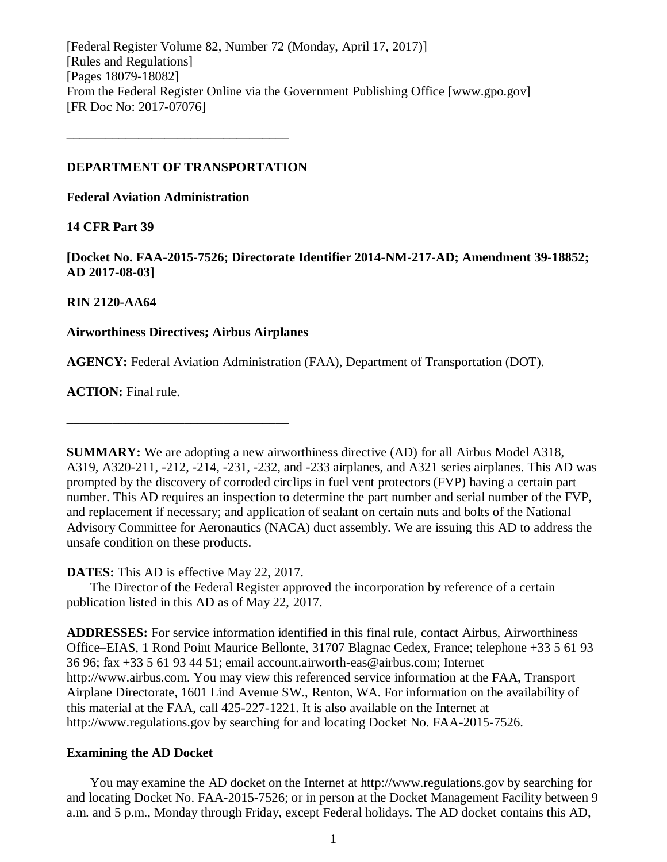[Federal Register Volume 82, Number 72 (Monday, April 17, 2017)] [Rules and Regulations] [Pages 18079-18082] From the Federal Register Online via the Government Publishing Office [www.gpo.gov] [FR Doc No: 2017-07076]

### **DEPARTMENT OF TRANSPORTATION**

**––––––––––––––––––––––––––––––––––**

**Federal Aviation Administration**

# **14 CFR Part 39**

**[Docket No. FAA-2015-7526; Directorate Identifier 2014-NM-217-AD; Amendment 39-18852; AD 2017-08-03]**

### **RIN 2120-AA64**

### **Airworthiness Directives; Airbus Airplanes**

**––––––––––––––––––––––––––––––––––**

**AGENCY:** Federal Aviation Administration (FAA), Department of Transportation (DOT).

**ACTION:** Final rule.

**SUMMARY:** We are adopting a new airworthiness directive (AD) for all Airbus Model A318, A319, A320-211, -212, -214, -231, -232, and -233 airplanes, and A321 series airplanes. This AD was prompted by the discovery of corroded circlips in fuel vent protectors (FVP) having a certain part number. This AD requires an inspection to determine the part number and serial number of the FVP, and replacement if necessary; and application of sealant on certain nuts and bolts of the National Advisory Committee for Aeronautics (NACA) duct assembly. We are issuing this AD to address the unsafe condition on these products.

# **DATES:** This AD is effective May 22, 2017.

The Director of the Federal Register approved the incorporation by reference of a certain publication listed in this AD as of May 22, 2017.

**ADDRESSES:** For service information identified in this final rule, contact Airbus, Airworthiness Office–EIAS, 1 Rond Point Maurice Bellonte, 31707 Blagnac Cedex, France; telephone +33 5 61 93 36 96; fax +33 5 61 93 44 51; email account.airworth-eas@airbus.com; Internet http://www.airbus.com. You may view this referenced service information at the FAA, Transport Airplane Directorate, 1601 Lind Avenue SW., Renton, WA. For information on the availability of this material at the FAA, call 425-227-1221. It is also available on the Internet at http://www.regulations.gov by searching for and locating Docket No. FAA-2015-7526.

# **Examining the AD Docket**

You may examine the AD docket on the Internet at http://www.regulations.gov by searching for and locating Docket No. FAA-2015-7526; or in person at the Docket Management Facility between 9 a.m. and 5 p.m., Monday through Friday, except Federal holidays. The AD docket contains this AD,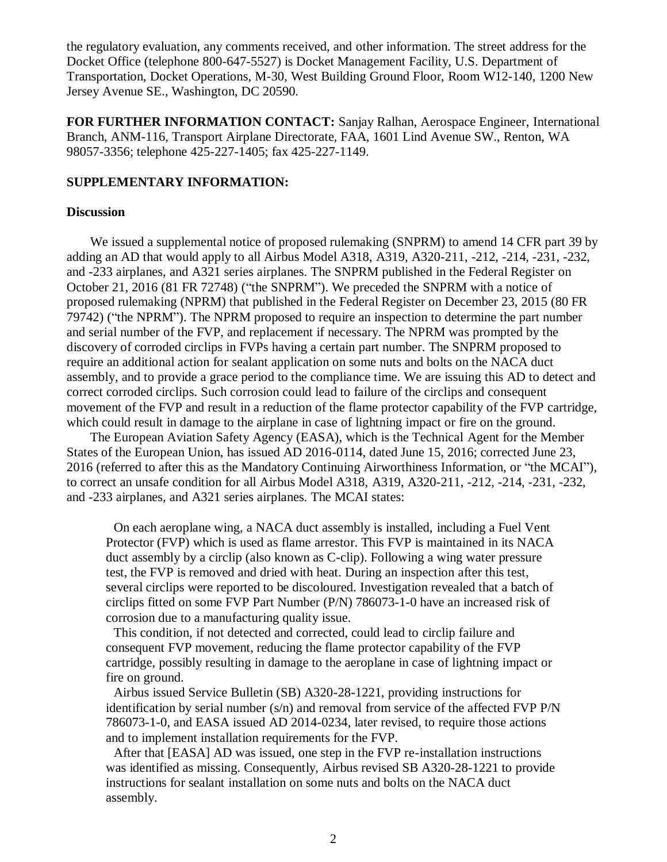the regulatory evaluation, any comments received, and other information. The street address for the Docket Office (telephone 800-647-5527) is Docket Management Facility, U.S. Department of Transportation, Docket Operations, M-30, West Building Ground Floor, Room W12-140, 1200 New Jersey Avenue SE., Washington, DC 20590.

**FOR FURTHER INFORMATION CONTACT:** Sanjay Ralhan, Aerospace Engineer, International Branch, ANM-116, Transport Airplane Directorate, FAA, 1601 Lind Avenue SW., Renton, WA 98057-3356; telephone 425-227-1405; fax 425-227-1149.

### **SUPPLEMENTARY INFORMATION:**

### **Discussion**

We issued a supplemental notice of proposed rulemaking (SNPRM) to amend 14 CFR part 39 by adding an AD that would apply to all Airbus Model A318, A319, A320-211, -212, -214, -231, -232, and -233 airplanes, and A321 series airplanes. The SNPRM published in the Federal Register on October 21, 2016 (81 FR 72748) ("the SNPRM"). We preceded the SNPRM with a notice of proposed rulemaking (NPRM) that published in the Federal Register on December 23, 2015 (80 FR 79742) ("the NPRM"). The NPRM proposed to require an inspection to determine the part number and serial number of the FVP, and replacement if necessary. The NPRM was prompted by the discovery of corroded circlips in FVPs having a certain part number. The SNPRM proposed to require an additional action for sealant application on some nuts and bolts on the NACA duct assembly, and to provide a grace period to the compliance time. We are issuing this AD to detect and correct corroded circlips. Such corrosion could lead to failure of the circlips and consequent movement of the FVP and result in a reduction of the flame protector capability of the FVP cartridge, which could result in damage to the airplane in case of lightning impact or fire on the ground.

The European Aviation Safety Agency (EASA), which is the Technical Agent for the Member States of the European Union, has issued AD 2016-0114, dated June 15, 2016; corrected June 23, 2016 (referred to after this as the Mandatory Continuing Airworthiness Information, or "the MCAI"), to correct an unsafe condition for all Airbus Model A318, A319, A320-211, -212, -214, -231, -232, and -233 airplanes, and A321 series airplanes. The MCAI states:

On each aeroplane wing, a NACA duct assembly is installed, including a Fuel Vent Protector (FVP) which is used as flame arrestor. This FVP is maintained in its NACA duct assembly by a circlip (also known as C-clip). Following a wing water pressure test, the FVP is removed and dried with heat. During an inspection after this test, several circlips were reported to be discoloured. Investigation revealed that a batch of circlips fitted on some FVP Part Number (P/N) 786073-1-0 have an increased risk of corrosion due to a manufacturing quality issue.

This condition, if not detected and corrected, could lead to circlip failure and consequent FVP movement, reducing the flame protector capability of the FVP cartridge, possibly resulting in damage to the aeroplane in case of lightning impact or fire on ground.

Airbus issued Service Bulletin (SB) A320-28-1221, providing instructions for identification by serial number  $(s/n)$  and removal from service of the affected FVP  $P/N$ 786073-1-0, and EASA issued AD 2014-0234, later revised, to require those actions and to implement installation requirements for the FVP.

After that [EASA] AD was issued, one step in the FVP re-installation instructions was identified as missing. Consequently, Airbus revised SB A320-28-1221 to provide instructions for sealant installation on some nuts and bolts on the NACA duct assembly.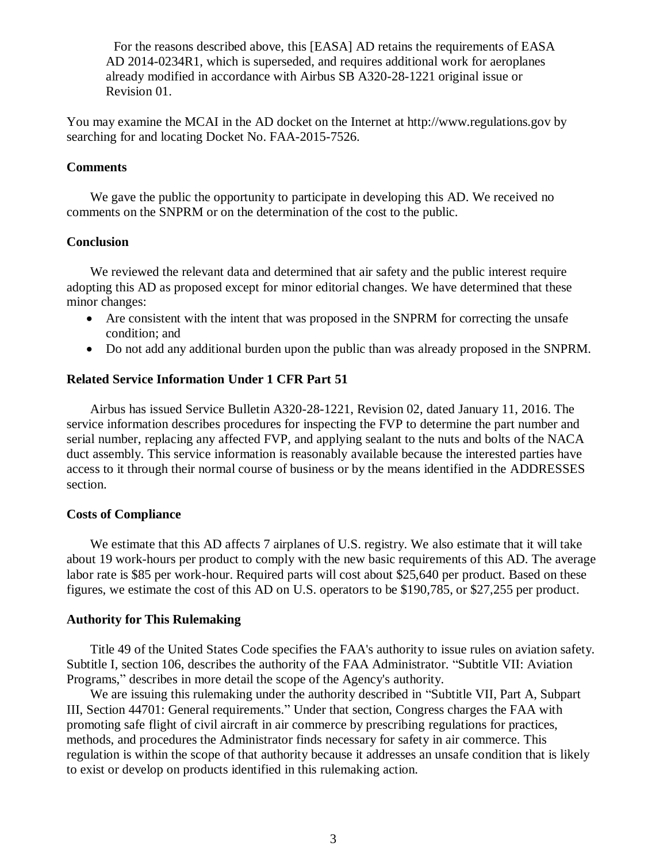For the reasons described above, this [EASA] AD retains the requirements of EASA AD 2014-0234R1, which is superseded, and requires additional work for aeroplanes already modified in accordance with Airbus SB A320-28-1221 original issue or Revision 01.

You may examine the MCAI in the AD docket on the Internet at http://www.regulations.gov by searching for and locating Docket No. FAA-2015-7526.

### **Comments**

We gave the public the opportunity to participate in developing this AD. We received no comments on the SNPRM or on the determination of the cost to the public.

### **Conclusion**

We reviewed the relevant data and determined that air safety and the public interest require adopting this AD as proposed except for minor editorial changes. We have determined that these minor changes:

- Are consistent with the intent that was proposed in the SNPRM for correcting the unsafe condition; and
- Do not add any additional burden upon the public than was already proposed in the SNPRM.

# **Related Service Information Under 1 CFR Part 51**

Airbus has issued Service Bulletin A320-28-1221, Revision 02, dated January 11, 2016. The service information describes procedures for inspecting the FVP to determine the part number and serial number, replacing any affected FVP, and applying sealant to the nuts and bolts of the NACA duct assembly. This service information is reasonably available because the interested parties have access to it through their normal course of business or by the means identified in the ADDRESSES section.

# **Costs of Compliance**

We estimate that this AD affects 7 airplanes of U.S. registry. We also estimate that it will take about 19 work-hours per product to comply with the new basic requirements of this AD. The average labor rate is \$85 per work-hour. Required parts will cost about \$25,640 per product. Based on these figures, we estimate the cost of this AD on U.S. operators to be \$190,785, or \$27,255 per product.

# **Authority for This Rulemaking**

Title 49 of the United States Code specifies the FAA's authority to issue rules on aviation safety. Subtitle I, section 106, describes the authority of the FAA Administrator. "Subtitle VII: Aviation Programs," describes in more detail the scope of the Agency's authority.

We are issuing this rulemaking under the authority described in "Subtitle VII, Part A, Subpart III, Section 44701: General requirements." Under that section, Congress charges the FAA with promoting safe flight of civil aircraft in air commerce by prescribing regulations for practices, methods, and procedures the Administrator finds necessary for safety in air commerce. This regulation is within the scope of that authority because it addresses an unsafe condition that is likely to exist or develop on products identified in this rulemaking action.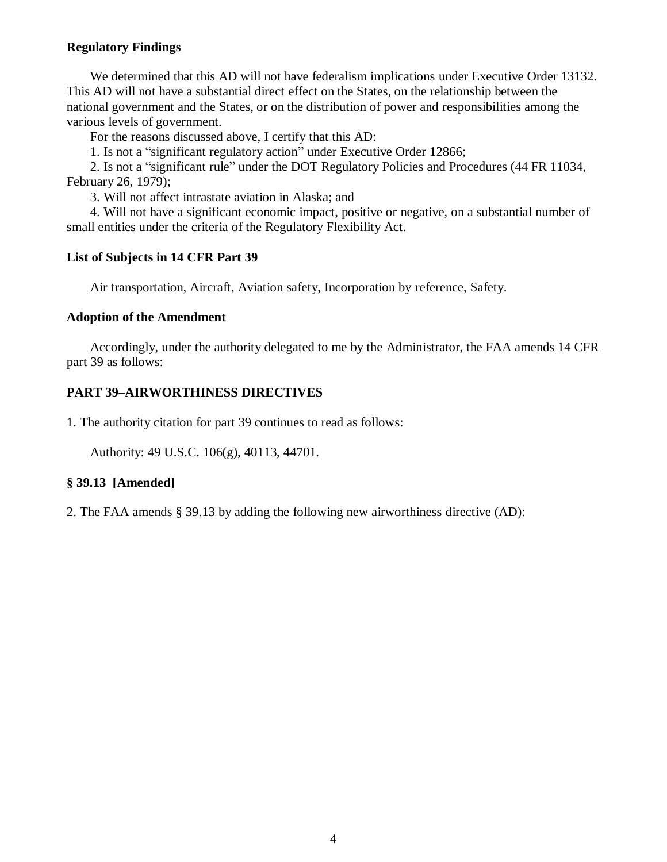# **Regulatory Findings**

We determined that this AD will not have federalism implications under Executive Order 13132. This AD will not have a substantial direct effect on the States, on the relationship between the national government and the States, or on the distribution of power and responsibilities among the various levels of government.

For the reasons discussed above, I certify that this AD:

1. Is not a "significant regulatory action" under Executive Order 12866;

2. Is not a "significant rule" under the DOT Regulatory Policies and Procedures (44 FR 11034, February 26, 1979);

3. Will not affect intrastate aviation in Alaska; and

4. Will not have a significant economic impact, positive or negative, on a substantial number of small entities under the criteria of the Regulatory Flexibility Act.

# **List of Subjects in 14 CFR Part 39**

Air transportation, Aircraft, Aviation safety, Incorporation by reference, Safety.

# **Adoption of the Amendment**

Accordingly, under the authority delegated to me by the Administrator, the FAA amends 14 CFR part 39 as follows:

# **PART 39–AIRWORTHINESS DIRECTIVES**

1. The authority citation for part 39 continues to read as follows:

Authority: 49 U.S.C. 106(g), 40113, 44701.

# **§ 39.13 [Amended]**

2. The FAA amends § 39.13 by adding the following new airworthiness directive (AD):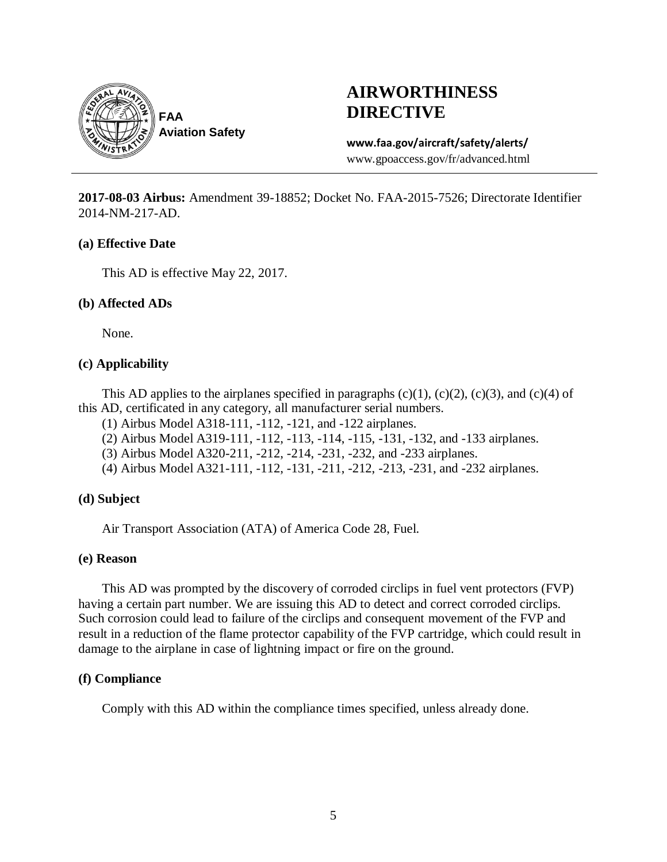

# **AIRWORTHINESS DIRECTIVE**

# **www.faa.gov/aircraft/safety/alerts/**

www.gpoaccess.gov/fr/advanced.html

**2017-08-03 Airbus:** Amendment 39-18852; Docket No. FAA-2015-7526; Directorate Identifier 2014-NM-217-AD.

### **(a) Effective Date**

This AD is effective May 22, 2017.

# **(b) Affected ADs**

None.

# **(c) Applicability**

This AD applies to the airplanes specified in paragraphs  $(c)(1)$ ,  $(c)(2)$ ,  $(c)(3)$ , and  $(c)(4)$  of this AD, certificated in any category, all manufacturer serial numbers.

- (1) Airbus Model A318-111, -112, -121, and -122 airplanes.
- (2) Airbus Model A319-111, -112, -113, -114, -115, -131, -132, and -133 airplanes.
- (3) Airbus Model A320-211, -212, -214, -231, -232, and -233 airplanes.
- (4) Airbus Model A321-111, -112, -131, -211, -212, -213, -231, and -232 airplanes.

# **(d) Subject**

Air Transport Association (ATA) of America Code 28, Fuel.

# **(e) Reason**

This AD was prompted by the discovery of corroded circlips in fuel vent protectors (FVP) having a certain part number. We are issuing this AD to detect and correct corroded circlips. Such corrosion could lead to failure of the circlips and consequent movement of the FVP and result in a reduction of the flame protector capability of the FVP cartridge, which could result in damage to the airplane in case of lightning impact or fire on the ground.

# **(f) Compliance**

Comply with this AD within the compliance times specified, unless already done.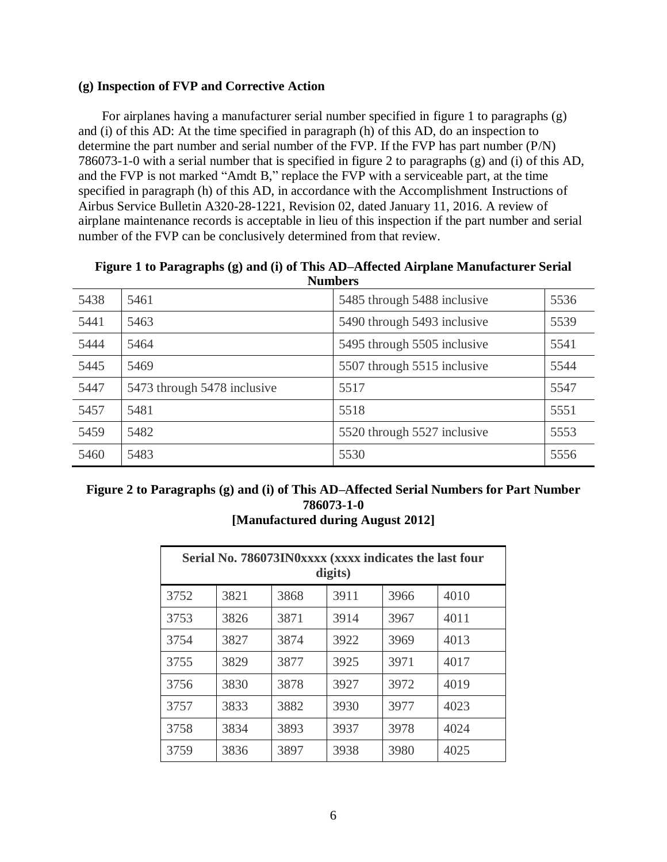# **(g) Inspection of FVP and Corrective Action**

For airplanes having a manufacturer serial number specified in figure 1 to paragraphs (g) and (i) of this AD: At the time specified in paragraph (h) of this AD, do an inspection to determine the part number and serial number of the FVP. If the FVP has part number (P/N) 786073-1-0 with a serial number that is specified in figure 2 to paragraphs (g) and (i) of this AD, and the FVP is not marked "Amdt B," replace the FVP with a serviceable part, at the time specified in paragraph (h) of this AD, in accordance with the Accomplishment Instructions of Airbus Service Bulletin A320-28-1221, Revision 02, dated January 11, 2016. A review of airplane maintenance records is acceptable in lieu of this inspection if the part number and serial number of the FVP can be conclusively determined from that review.

| Figure 1 to Paragraphs (g) and (i) of This AD-Affected Airplane Manufacturer Serial |
|-------------------------------------------------------------------------------------|
| <b>Numbers</b>                                                                      |

| 5438 | 5461                        | 5485 through 5488 inclusive | 5536 |
|------|-----------------------------|-----------------------------|------|
| 5441 | 5463                        | 5490 through 5493 inclusive | 5539 |
| 5444 | 5464                        | 5495 through 5505 inclusive | 5541 |
| 5445 | 5469                        | 5507 through 5515 inclusive | 5544 |
| 5447 | 5473 through 5478 inclusive | 5517                        | 5547 |
| 5457 | 5481                        | 5518                        | 5551 |
| 5459 | 5482                        | 5520 through 5527 inclusive | 5553 |
| 5460 | 5483                        | 5530                        | 5556 |

| Figure 2 to Paragraphs (g) and (i) of This AD–Affected Serial Numbers for Part Number |  |  |  |  |
|---------------------------------------------------------------------------------------|--|--|--|--|
| 786073-1-0                                                                            |  |  |  |  |
| [Manufactured during August 2012]                                                     |  |  |  |  |

| Serial No. 786073IN0xxxx (xxxx indicates the last four<br>digits) |      |      |      |      |      |  |  |
|-------------------------------------------------------------------|------|------|------|------|------|--|--|
| 3752                                                              | 3821 | 3868 | 3911 | 3966 | 4010 |  |  |
| 3753                                                              | 3826 | 3871 | 3914 | 3967 | 4011 |  |  |
| 3754                                                              | 3827 | 3874 | 3922 | 3969 | 4013 |  |  |
| 3755                                                              | 3829 | 3877 | 3925 | 3971 | 4017 |  |  |
| 3756                                                              | 3830 | 3878 | 3927 | 3972 | 4019 |  |  |
| 3757                                                              | 3833 | 3882 | 3930 | 3977 | 4023 |  |  |
| 3758                                                              | 3834 | 3893 | 3937 | 3978 | 4024 |  |  |
| 3759                                                              | 3836 | 3897 | 3938 | 3980 | 4025 |  |  |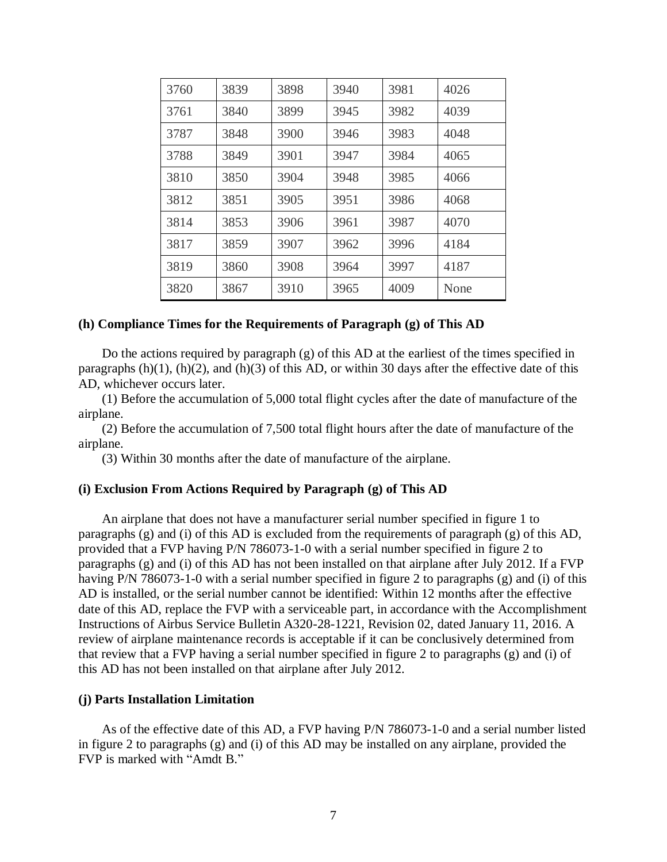| 3760 | 3839 | 3898 | 3940 | 3981 | 4026 |
|------|------|------|------|------|------|
| 3761 | 3840 | 3899 | 3945 | 3982 | 4039 |
| 3787 | 3848 | 3900 | 3946 | 3983 | 4048 |
| 3788 | 3849 | 3901 | 3947 | 3984 | 4065 |
| 3810 | 3850 | 3904 | 3948 | 3985 | 4066 |
| 3812 | 3851 | 3905 | 3951 | 3986 | 4068 |
| 3814 | 3853 | 3906 | 3961 | 3987 | 4070 |
| 3817 | 3859 | 3907 | 3962 | 3996 | 4184 |
| 3819 | 3860 | 3908 | 3964 | 3997 | 4187 |
| 3820 | 3867 | 3910 | 3965 | 4009 | None |

### **(h) Compliance Times for the Requirements of Paragraph (g) of This AD**

Do the actions required by paragraph (g) of this AD at the earliest of the times specified in paragraphs  $(h)(1)$ ,  $(h)(2)$ , and  $(h)(3)$  of this AD, or within 30 days after the effective date of this AD, whichever occurs later.

(1) Before the accumulation of 5,000 total flight cycles after the date of manufacture of the airplane.

(2) Before the accumulation of 7,500 total flight hours after the date of manufacture of the airplane.

(3) Within 30 months after the date of manufacture of the airplane.

### **(i) Exclusion From Actions Required by Paragraph (g) of This AD**

An airplane that does not have a manufacturer serial number specified in figure 1 to paragraphs (g) and (i) of this AD is excluded from the requirements of paragraph (g) of this AD, provided that a FVP having P/N 786073-1-0 with a serial number specified in figure 2 to paragraphs (g) and (i) of this AD has not been installed on that airplane after July 2012. If a FVP having P/N 786073-1-0 with a serial number specified in figure 2 to paragraphs (g) and (i) of this AD is installed, or the serial number cannot be identified: Within 12 months after the effective date of this AD, replace the FVP with a serviceable part, in accordance with the Accomplishment Instructions of Airbus Service Bulletin A320-28-1221, Revision 02, dated January 11, 2016. A review of airplane maintenance records is acceptable if it can be conclusively determined from that review that a FVP having a serial number specified in figure 2 to paragraphs (g) and (i) of this AD has not been installed on that airplane after July 2012.

### **(j) Parts Installation Limitation**

As of the effective date of this AD, a FVP having P/N 786073-1-0 and a serial number listed in figure 2 to paragraphs (g) and (i) of this AD may be installed on any airplane, provided the FVP is marked with "Amdt B."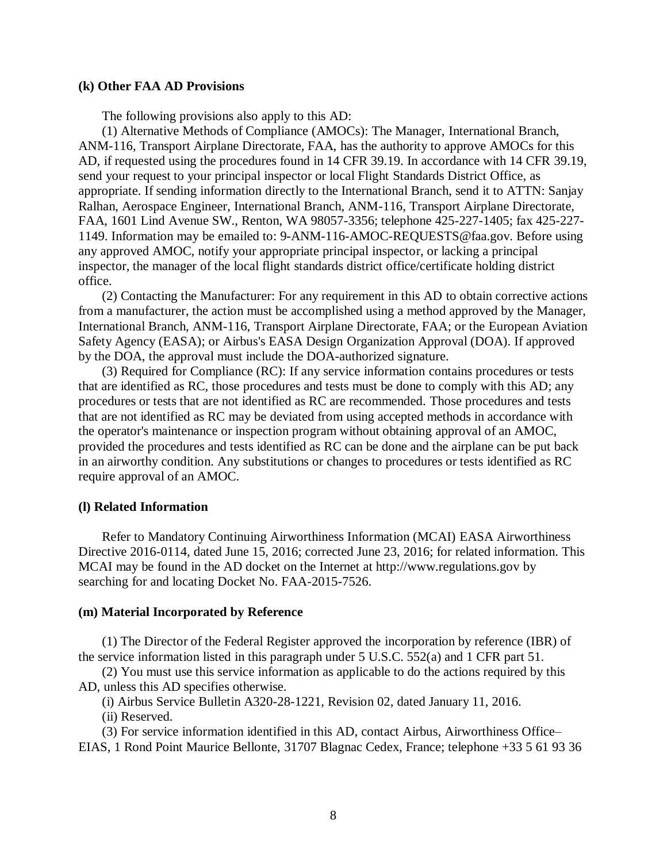#### **(k) Other FAA AD Provisions**

The following provisions also apply to this AD:

(1) Alternative Methods of Compliance (AMOCs): The Manager, International Branch, ANM-116, Transport Airplane Directorate, FAA, has the authority to approve AMOCs for this AD, if requested using the procedures found in 14 CFR 39.19. In accordance with 14 CFR 39.19, send your request to your principal inspector or local Flight Standards District Office, as appropriate. If sending information directly to the International Branch, send it to ATTN: Sanjay Ralhan, Aerospace Engineer, International Branch, ANM-116, Transport Airplane Directorate, FAA, 1601 Lind Avenue SW., Renton, WA 98057-3356; telephone 425-227-1405; fax 425-227- 1149. Information may be emailed to: 9-ANM-116-AMOC-REQUESTS@faa.gov. Before using any approved AMOC, notify your appropriate principal inspector, or lacking a principal inspector, the manager of the local flight standards district office/certificate holding district office.

(2) Contacting the Manufacturer: For any requirement in this AD to obtain corrective actions from a manufacturer, the action must be accomplished using a method approved by the Manager, International Branch, ANM-116, Transport Airplane Directorate, FAA; or the European Aviation Safety Agency (EASA); or Airbus's EASA Design Organization Approval (DOA). If approved by the DOA, the approval must include the DOA-authorized signature.

(3) Required for Compliance (RC): If any service information contains procedures or tests that are identified as RC, those procedures and tests must be done to comply with this AD; any procedures or tests that are not identified as RC are recommended. Those procedures and tests that are not identified as RC may be deviated from using accepted methods in accordance with the operator's maintenance or inspection program without obtaining approval of an AMOC, provided the procedures and tests identified as RC can be done and the airplane can be put back in an airworthy condition. Any substitutions or changes to procedures or tests identified as RC require approval of an AMOC.

### **(l) Related Information**

Refer to Mandatory Continuing Airworthiness Information (MCAI) EASA Airworthiness Directive 2016-0114, dated June 15, 2016; corrected June 23, 2016; for related information. This MCAI may be found in the AD docket on the Internet at http://www.regulations.gov by searching for and locating Docket No. FAA-2015-7526.

### **(m) Material Incorporated by Reference**

(1) The Director of the Federal Register approved the incorporation by reference (IBR) of the service information listed in this paragraph under 5 U.S.C. 552(a) and 1 CFR part 51.

(2) You must use this service information as applicable to do the actions required by this AD, unless this AD specifies otherwise.

(i) Airbus Service Bulletin A320-28-1221, Revision 02, dated January 11, 2016.

(ii) Reserved.

(3) For service information identified in this AD, contact Airbus, Airworthiness Office– EIAS, 1 Rond Point Maurice Bellonte, 31707 Blagnac Cedex, France; telephone +33 5 61 93 36